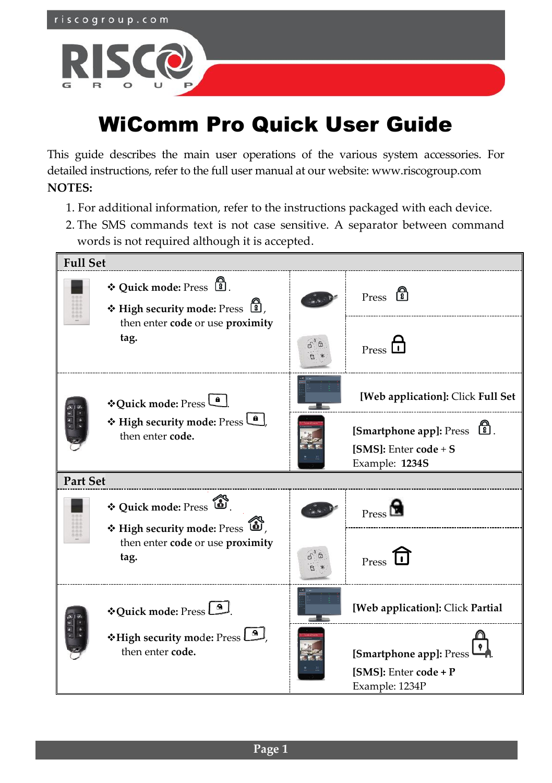

# WiComm Pro Quick User Guide

This guide describes the main user operations of the various system accessories. For detailed instructions, refer to the full user manual at our website: www.riscogroup.com **NOTES:**

- 1. For additional information, refer to the instructions packaged with each device.
- 2. The SMS commands text is not case sensitive. A separator between command words is not required although it is accepted.

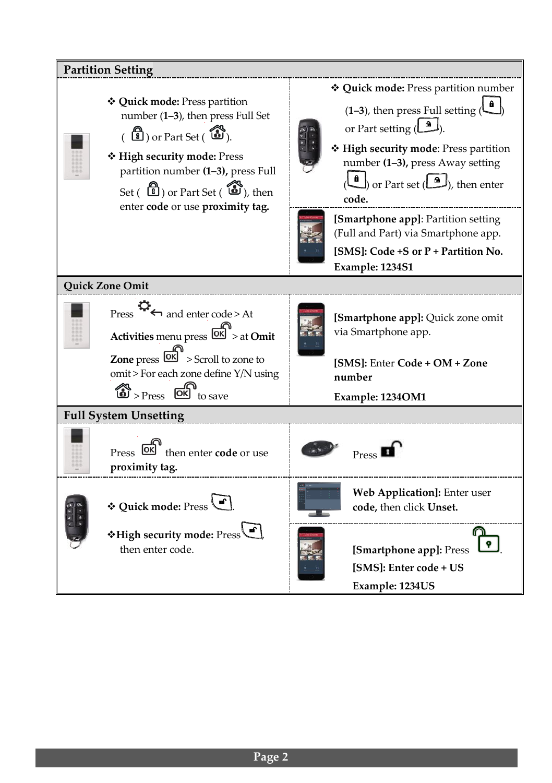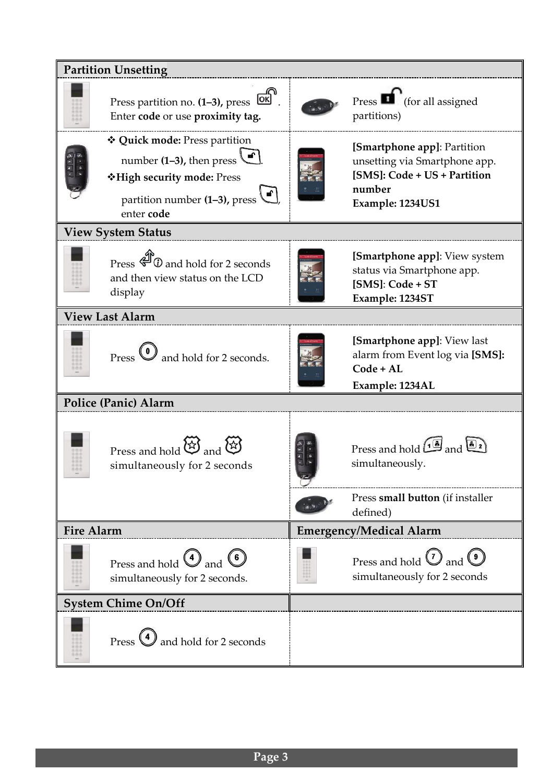| <b>Partition Unsetting</b> |                                                                                                                                                                       |                                |                                                                                                                            |  |  |  |
|----------------------------|-----------------------------------------------------------------------------------------------------------------------------------------------------------------------|--------------------------------|----------------------------------------------------------------------------------------------------------------------------|--|--|--|
|                            | Press partition no. (1-3), press OK<br>Enter code or use proximity tag.                                                                                               |                                | Press $\blacksquare$ (for all assigned<br>partitions)                                                                      |  |  |  |
|                            | * Quick mode: Press partition<br>number $(1-3)$ , then press $\boxed{\blacksquare}$ .<br>*High security mode: Press<br>partition number $(1-3)$ , press<br>enter code |                                | [Smartphone app]: Partition<br>unsetting via Smartphone app.<br>[SMS]: Code + US + Partition<br>number<br>Example: 1234US1 |  |  |  |
|                            | <b>View System Status</b>                                                                                                                                             |                                |                                                                                                                            |  |  |  |
|                            | Press $\overline{Q}$ and hold for 2 seconds<br>and then view status on the LCD<br>display                                                                             |                                | [Smartphone app]: View system<br>status via Smartphone app.<br>[SMS]: Code + ST<br>Example: 1234ST                         |  |  |  |
|                            | <b>View Last Alarm</b>                                                                                                                                                |                                |                                                                                                                            |  |  |  |
|                            | $Press$ $\bigcirc$ and hold for 2 seconds.                                                                                                                            |                                | [Smartphone app]: View last<br>alarm from Event log via [SMS]:<br>$Code + AI$<br>Example: 1234AL                           |  |  |  |
|                            | <b>Police (Panic) Alarm</b>                                                                                                                                           |                                |                                                                                                                            |  |  |  |
|                            | Press and hold $\bigotimes^{\mathbb{Z}}$ and $\bigotimes^{\mathbb{Z}}$<br>simultaneously for 2 seconds                                                                |                                | Press and hold 14 and 2<br>simultaneously.                                                                                 |  |  |  |
|                            |                                                                                                                                                                       |                                | Press small button (if installer<br>defined)                                                                               |  |  |  |
| <b>Fire Alarm</b>          |                                                                                                                                                                       | <b>Emergency/Medical Alarm</b> |                                                                                                                            |  |  |  |
|                            | Press and hold $\bigcirc$ and $\bigcirc$<br>simultaneously for 2 seconds.                                                                                             |                                | Press and hold $\bigcirc$ and $\bigcirc$<br>simultaneously for 2 seconds                                                   |  |  |  |
| <b>System Chime On/Off</b> |                                                                                                                                                                       |                                |                                                                                                                            |  |  |  |
|                            | Press $\bigcirc$ and hold for 2 seconds                                                                                                                               |                                |                                                                                                                            |  |  |  |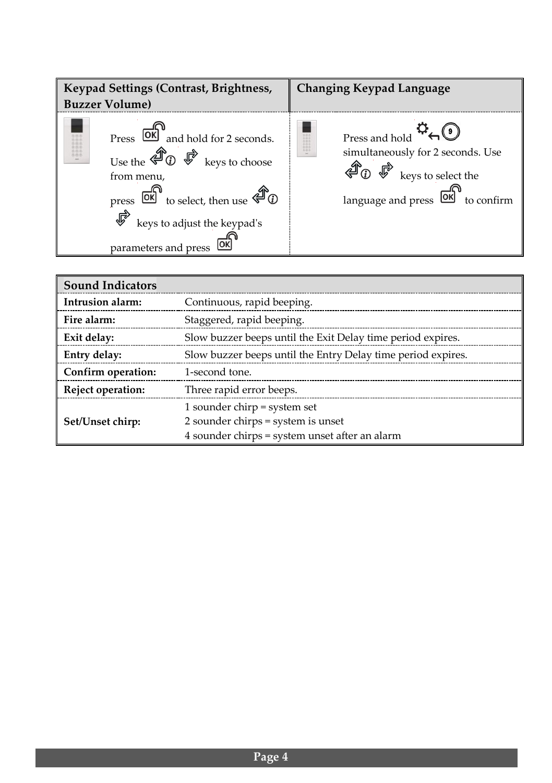

| <b>Sound Indicators</b> |                                                              |  |  |  |  |  |
|-------------------------|--------------------------------------------------------------|--|--|--|--|--|
| Intrusion alarm:        | Continuous, rapid beeping.                                   |  |  |  |  |  |
| Fire alarm:             | Staggered, rapid beeping.                                    |  |  |  |  |  |
| Exit delay:             | Slow buzzer beeps until the Exit Delay time period expires.  |  |  |  |  |  |
| Entry delay:            | Slow buzzer beeps until the Entry Delay time period expires. |  |  |  |  |  |
| Confirm operation:      | 1-second tone.                                               |  |  |  |  |  |
| Reject operation:       | Three rapid error beeps.                                     |  |  |  |  |  |
|                         | 1 sounder chirp = system set                                 |  |  |  |  |  |
| Set/Unset chirp:        | 2 sounder chirps = system is unset                           |  |  |  |  |  |
|                         | 4 sounder chirps = system unset after an alarm               |  |  |  |  |  |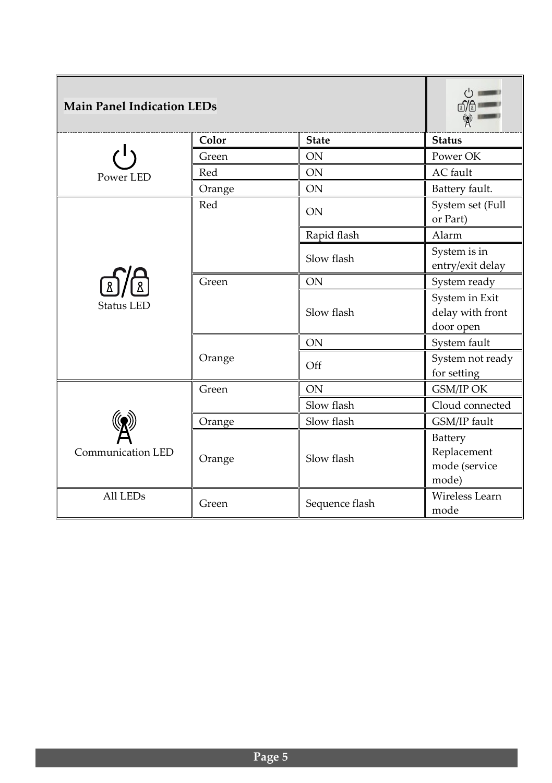| <b>Main Panel Indication LEDs</b> |        |                |                                                  |  |
|-----------------------------------|--------|----------------|--------------------------------------------------|--|
|                                   | Color  | <b>State</b>   | <b>Status</b>                                    |  |
|                                   | Green  | <b>ON</b>      | Power OK                                         |  |
| Power LED                         | Red    | <b>ON</b>      | AC fault                                         |  |
|                                   | Orange | <b>ON</b>      | Battery fault.                                   |  |
|                                   | Red    | <b>ON</b>      | System set (Full<br>or Part)                     |  |
|                                   |        | Rapid flash    | Alarm                                            |  |
|                                   |        | Slow flash     | System is in<br>entry/exit delay                 |  |
|                                   | Green  | <b>ON</b>      | System ready                                     |  |
| <b>Status LED</b>                 |        | Slow flash     | System in Exit<br>delay with front<br>door open  |  |
|                                   | Orange | <b>ON</b>      | System fault                                     |  |
|                                   |        | $\Omega$ ff    | System not ready<br>for setting                  |  |
|                                   | Green  | <b>ON</b>      | GSM/IP OK                                        |  |
|                                   |        | Slow flash     | Cloud connected                                  |  |
|                                   | Orange | Slow flash     | GSM/IP fault                                     |  |
| Communication LED                 | Orange | Slow flash     | Battery<br>Replacement<br>mode (service<br>mode) |  |
| All LEDs                          | Green  | Sequence flash | Wireless Learn<br>mode                           |  |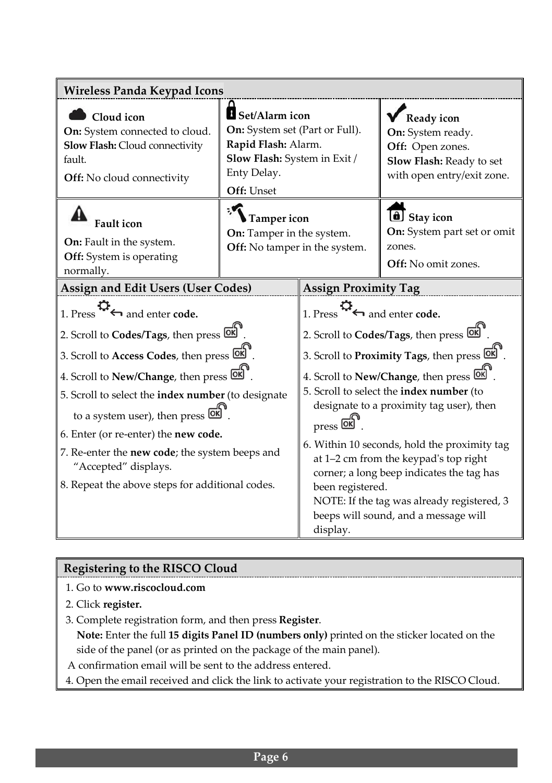| <b>Wireless Panda Keypad Icons</b>                                                                                                                                                                                                                                                                                                                                                                                                                                |                                                                                                                                        |                                                                                                                                                                                                                                                                                                                                                                                                                                                                                                                                                                      |                                                                                                                        |  |  |  |  |  |
|-------------------------------------------------------------------------------------------------------------------------------------------------------------------------------------------------------------------------------------------------------------------------------------------------------------------------------------------------------------------------------------------------------------------------------------------------------------------|----------------------------------------------------------------------------------------------------------------------------------------|----------------------------------------------------------------------------------------------------------------------------------------------------------------------------------------------------------------------------------------------------------------------------------------------------------------------------------------------------------------------------------------------------------------------------------------------------------------------------------------------------------------------------------------------------------------------|------------------------------------------------------------------------------------------------------------------------|--|--|--|--|--|
| Cloud icon<br>On: System connected to cloud.<br>Slow Flash: Cloud connectivity<br>fault.<br><b>Off:</b> No cloud connectivity                                                                                                                                                                                                                                                                                                                                     | B Set/Alarm icon<br>On: System set (Part or Full).<br>Rapid Flash: Alarm.<br>Slow Flash: System in Exit /<br>Enty Delay.<br>Off: Unset |                                                                                                                                                                                                                                                                                                                                                                                                                                                                                                                                                                      | <b>V</b> Ready icon<br>On: System ready.<br>Off: Open zones.<br>Slow Flash: Ready to set<br>with open entry/exit zone. |  |  |  |  |  |
| <b>Fault</b> icon<br>On: Fault in the system.<br>Off: System is operating<br>normally.                                                                                                                                                                                                                                                                                                                                                                            | Tamper icon<br>On: Tamper in the system.<br>Off: No tamper in the system.                                                              |                                                                                                                                                                                                                                                                                                                                                                                                                                                                                                                                                                      | <b>B</b> Stay icon<br>On: System part set or omit<br>zones.<br>Off: No omit zones.                                     |  |  |  |  |  |
| Assign and Edit Users (User Codes)                                                                                                                                                                                                                                                                                                                                                                                                                                |                                                                                                                                        | <b>Assign Proximity Tag</b>                                                                                                                                                                                                                                                                                                                                                                                                                                                                                                                                          |                                                                                                                        |  |  |  |  |  |
| 1. Press $\mathfrak{P}_{\leftarrow}$ and enter code.<br>2. Scroll to Codes/Tags, then press OK<br>3. Scroll to Access Codes, then press OK<br>4. Scroll to New/Change, then press OK<br>5. Scroll to select the <b>index number</b> (to designate<br>to a system user), then press <b>OK</b><br>6. Enter (or re-enter) the new code.<br>7. Re-enter the new code; the system beeps and<br>"Accepted" displays.<br>8. Repeat the above steps for additional codes. |                                                                                                                                        | 1. Press $\mathfrak{P}_{\leftarrow}$ and enter code.<br>2. Scroll to Codes/Tags, then press OK<br>3. Scroll to Proximity Tags, then press OK<br>4. Scroll to New/Change, then press <b>OK</b><br>5. Scroll to select the index number (to<br>designate to a proximity tag user), then<br>press <b>OK</b><br>6. Within 10 seconds, hold the proximity tag<br>at 1-2 cm from the keypad's top right<br>corner; a long beep indicates the tag has<br>been registered.<br>NOTE: If the tag was already registered, 3<br>beeps will sound, and a message will<br>display. |                                                                                                                        |  |  |  |  |  |

## **Registering to the RISCO Cloud**

#### 1. Go to **www.riscocloud.com**

- 2. Click **register.**
- 3. Complete registration form, and then press **Register**.

**Note:** Enter the full **15 digits Panel ID (numbers only)** printed on the sticker located on the side of the panel (or as printed on the package of the main panel).

- A confirmation email will be sent to the address entered.
- 4. Open the email received and click the link to activate your registration to the RISCO Cloud.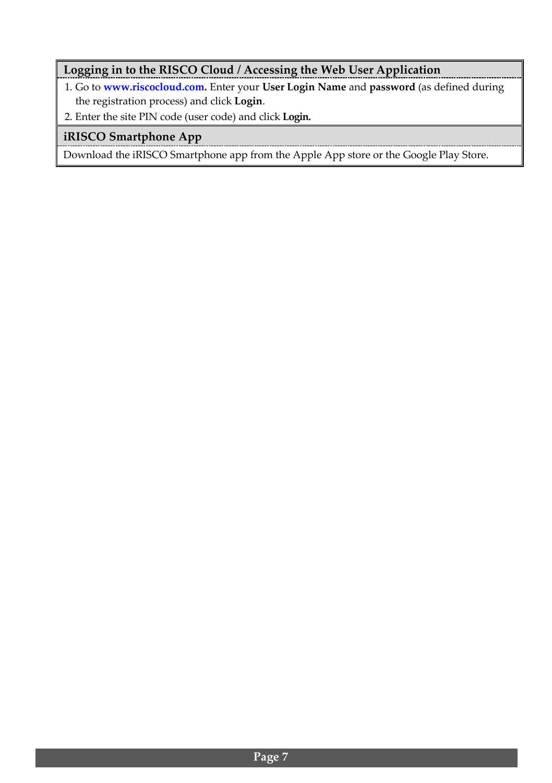## **Logging in to the RISCO Cloud / Accessing the Web User Application**

- 1. Go to **[www.riscocloud.com.](http://www.riscocloud.com/)** Enter your **User Login Name** and **password** (as defined during the registration process) and click **Login**.
- 2. Enter the site PIN code (user code) and click **Login.**

### **iRISCO Smartphone App**

Download the iRISCO Smartphone app from the Apple App store or the Google Play Store.